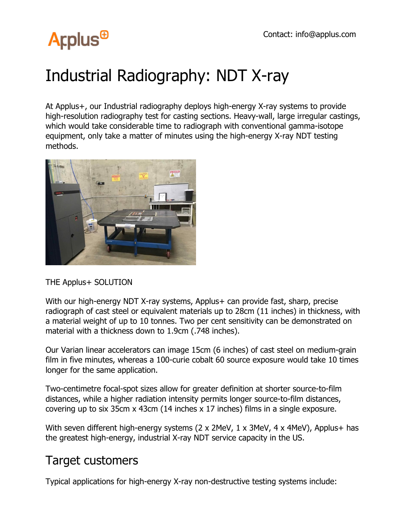## **Arplus<sup>®</sup>**

### Industrial Radiography: NDT X-ray

At Applus+, our Industrial radiography deploys high-energy X-ray systems to provide high-resolution radiography test for casting sections. Heavy-wall, large irregular castings, which would take considerable time to radiograph with conventional gamma-isotope equipment, only take a matter of minutes using the high-energy X-ray NDT testing methods.



#### THE Applus+ SOLUTION

With our high-energy NDT X-ray systems, Applus+ can provide fast, sharp, precise radiograph of cast steel or equivalent materials up to 28cm (11 inches) in thickness, with a material weight of up to 10 tonnes. Two per cent sensitivity can be demonstrated on material with a thickness down to 1.9cm (.748 inches).

Our Varian linear accelerators can image 15cm (6 inches) of cast steel on medium-grain film in five minutes, whereas a 100-curie cobalt 60 source exposure would take 10 times longer for the same application.

Two-centimetre focal-spot sizes allow for greater definition at shorter source-to-film distances, while a higher radiation intensity permits longer source-to-film distances, covering up to six 35cm x 43cm (14 inches x 17 inches) films in a single exposure.

With seven different high-energy systems (2 x 2MeV, 1 x 3MeV, 4 x 4MeV), Applus+ has the greatest high-energy, industrial X-ray NDT service capacity in the US.

### Target customers

Typical applications for high-energy X-ray non-destructive testing systems include: